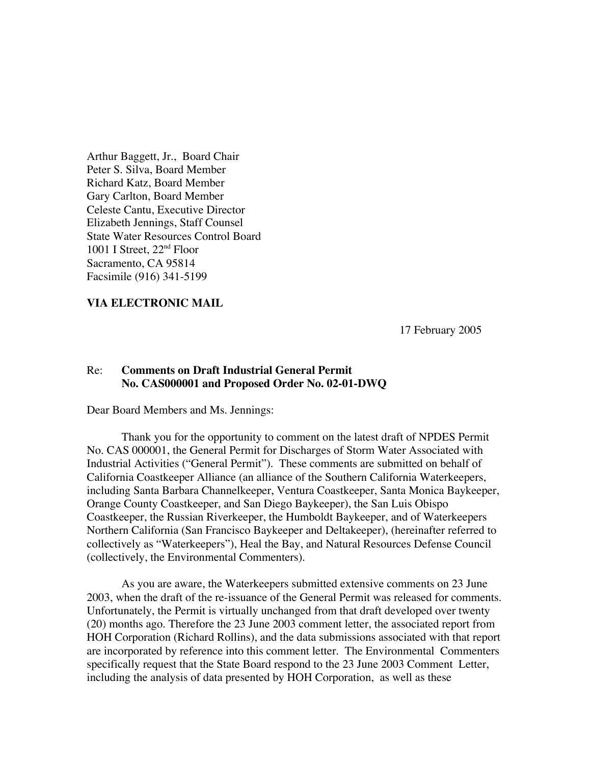Arthur Baggett, Jr., Board Chair Peter S. Silva, Board Member Richard Katz, Board Member Gary Carlton, Board Member Celeste Cantu, Executive Director Elizabeth Jennings, Staff Counsel State Water Resources Control Board 1001 I Street,  $22<sup>nd</sup>$  Floor Sacramento, CA 95814 Facsimile (916) 341-5199

#### **VIA ELECTRONIC MAIL**

17 February 2005

## Re: **Comments on Draft Industrial General Permit No. CAS000001 and Proposed Order No. 02-01-DWQ**

Dear Board Members and Ms. Jennings:

Thank you for the opportunity to comment on the latest draft of NPDES Permit No. CAS 000001, the General Permit for Discharges of Storm Water Associated with Industrial Activities ("General Permit"). These comments are submitted on behalf of California Coastkeeper Alliance (an alliance of the Southern California Waterkeepers, including Santa Barbara Channelkeeper, Ventura Coastkeeper, Santa Monica Baykeeper, Orange County Coastkeeper, and San Diego Baykeeper), the San Luis Obispo Coastkeeper, the Russian Riverkeeper, the Humboldt Baykeeper, and of Waterkeepers Northern California (San Francisco Baykeeper and Deltakeeper), (hereinafter referred to collectively as "Waterkeepers"), Heal the Bay, and Natural Resources Defense Council (collectively, the Environmental Commenters).

As you are aware, the Waterkeepers submitted extensive comments on 23 June 2003, when the draft of the re-issuance of the General Permit was released for comments. Unfortunately, the Permit is virtually unchanged from that draft developed over twenty (20) months ago. Therefore the 23 June 2003 comment letter, the associated report from HOH Corporation (Richard Rollins), and the data submissions associated with that report are incorporated by reference into this comment letter. The Environmental Commenters specifically request that the State Board respond to the 23 June 2003 Comment Letter, including the analysis of data presented by HOH Corporation, as well as these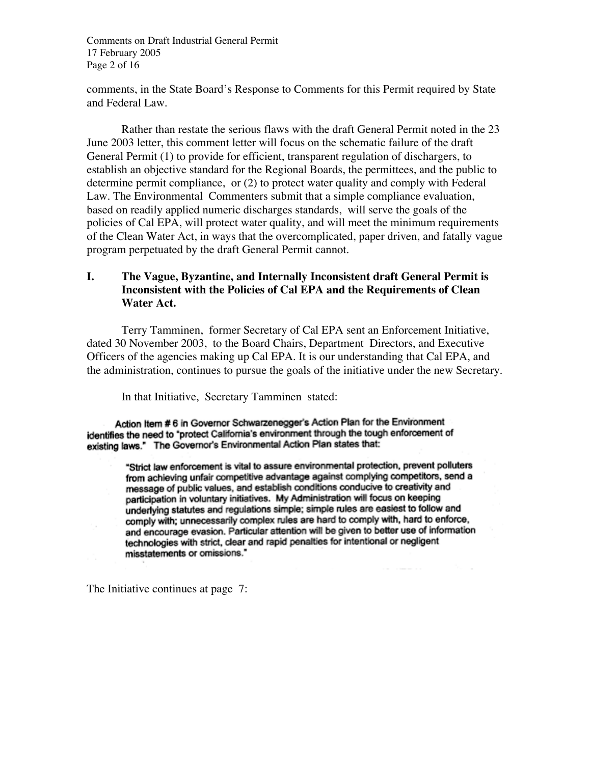Comments on Draft Industrial General Permit 17 February 2005 Page 2 of 16

comments, in the State Board's Response to Comments for this Permit required by State and Federal Law.

Rather than restate the serious flaws with the draft General Permit noted in the 23 June 2003 letter, this comment letter will focus on the schematic failure of the draft General Permit (1) to provide for efficient, transparent regulation of dischargers, to establish an objective standard for the Regional Boards, the permittees, and the public to determine permit compliance, or (2) to protect water quality and comply with Federal Law. The Environmental Commenters submit that a simple compliance evaluation, based on readily applied numeric discharges standards, will serve the goals of the policies of Cal EPA, will protect water quality, and will meet the minimum requirements of the Clean Water Act, in ways that the overcomplicated, paper driven, and fatally vague program perpetuated by the draft General Permit cannot.

# **I. The Vague, Byzantine, and Internally Inconsistent draft General Permit is Inconsistent with the Policies of Cal EPA and the Requirements of Clean Water Act.**

Terry Tamminen, former Secretary of Cal EPA sent an Enforcement Initiative, dated 30 November 2003, to the Board Chairs, Department Directors, and Executive Officers of the agencies making up Cal EPA. It is our understanding that Cal EPA, and the administration, continues to pursue the goals of the initiative under the new Secretary.

In that Initiative, Secretary Tamminen stated:

Action Item #6 in Governor Schwarzenegger's Action Plan for the Environment identifies the need to "protect California's environment through the tough enforcement of existing laws." The Governor's Environmental Action Plan states that:

> "Strict law enforcement is vital to assure environmental protection, prevent polluters from achieving unfair competitive advantage against complying competitors, send a message of public values, and establish conditions conducive to creativity and participation in voluntary initiatives. My Administration will focus on keeping underlying statutes and regulations simple; simple rules are easiest to follow and comply with; unnecessarily complex rules are hard to comply with, hard to enforce, and encourage evasion. Particular attention will be given to better use of information technologies with strict, clear and rapid penalties for intentional or negligent misstatements or omissions."

The Initiative continues at page 7: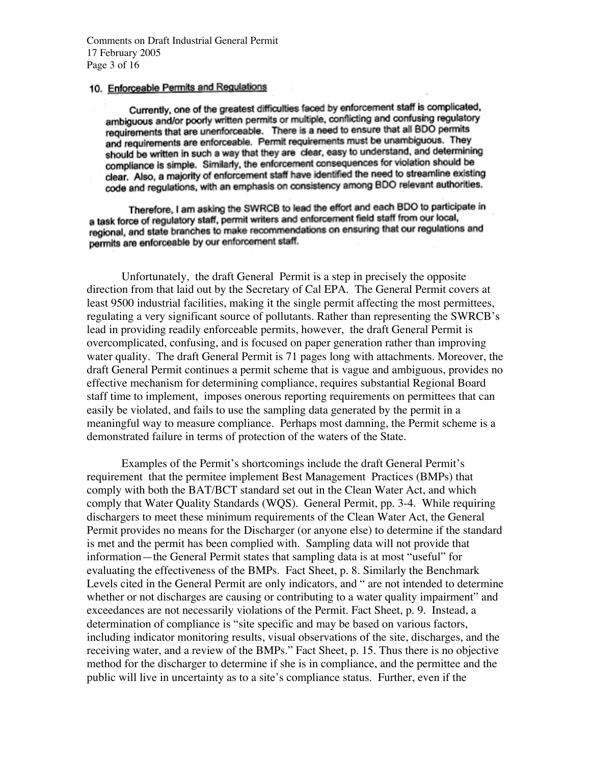## 10. Enforceable Permits and Regulations

Currently, one of the greatest difficulties faced by enforcement staff is complicated, ambiguous and/or poorly written permits or multiple, conflicting and confusing regulatory requirements that are unenforceable. There is a need to ensure that all BDO permits and requirements are enforceable. Permit requirements must be unambiguous. They should be written in such a way that they are clear, easy to understand, and determining compliance is simple. Similarly, the enforcement consequences for violation should be clear. Also, a majority of enforcement staff have identified the need to streamline existing code and regulations, with an emphasis on consistency among BDO relevant authorities.

Therefore, I am asking the SWRCB to lead the effort and each BDO to participate in a task force of regulatory staff, permit writers and enforcement field staff from our local, regional, and state branches to make recommendations on ensuring that our regulations and permits are enforceable by our enforcement staff.

Unfortunately, the draft General Permit is a step in precisely the opposite direction from that laid out by the Secretary of Cal EPA. The General Permit covers at least 9500 industrial facilities, making it the single permit affecting the most permittees, regulating a very significant source of pollutants. Rather than representing the SWRCB's lead in providing readily enforceable permits, however, the draft General Permit is overcomplicated, confusing, and is focused on paper generation rather than improving water quality. The draft General Permit is 71 pages long with attachments. Moreover, the draft General Permit continues a permit scheme that is vague and ambiguous, provides no effective mechanism for determining compliance, requires substantial Regional Board staff time to implement, imposes onerous reporting requirements on permittees that can easily be violated, and fails to use the sampling data generated by the permit in a meaningful way to measure compliance. Perhaps most damning, the Permit scheme is a demonstrated failure in terms of protection of the waters of the State.

Examples of the Permit's shortcomings include the draft General Permit's requirement that the permitee implement Best Management Practices (BMPs) that comply with both the BAT/BCT standard set out in the Clean Water Act, and which comply that Water Quality Standards (WQS). General Permit, pp. 3-4. While requiring dischargers to meet these minimum requirements of the Clean Water Act, the General Permit provides no means for the Discharger (or anyone else) to determine if the standard is met and the permit has been complied with. Sampling data will not provide that information—the General Permit states that sampling data is at most "useful" for evaluating the effectiveness of the BMPs. Fact Sheet, p. 8. Similarly the Benchmark Levels cited in the General Permit are only indicators, and " are not intended to determine whether or not discharges are causing or contributing to a water quality impairment" and exceedances are not necessarily violations of the Permit. Fact Sheet, p. 9. Instead, a determination of compliance is "site specific and may be based on various factors, including indicator monitoring results, visual observations of the site, discharges, and the receiving water, and a review of the BMPs." Fact Sheet, p. 15. Thus there is no objective method for the discharger to determine if she is in compliance, and the permittee and the public will live in uncertainty as to a site's compliance status. Further, even if the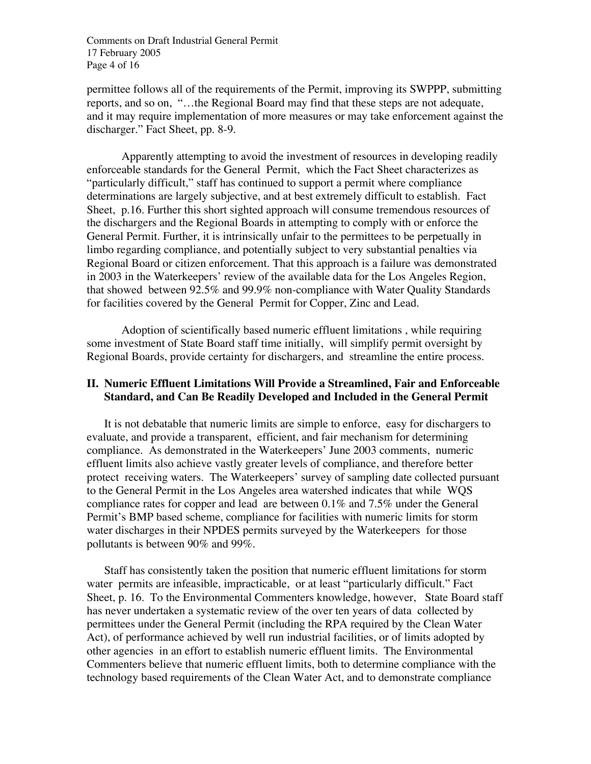Comments on Draft Industrial General Permit 17 February 2005 Page 4 of 16

permittee follows all of the requirements of the Permit, improving its SWPPP, submitting reports, and so on, "…the Regional Board may find that these steps are not adequate, and it may require implementation of more measures or may take enforcement against the discharger." Fact Sheet, pp. 8-9.

Apparently attempting to avoid the investment of resources in developing readily enforceable standards for the General Permit, which the Fact Sheet characterizes as "particularly difficult," staff has continued to support a permit where compliance determinations are largely subjective, and at best extremely difficult to establish. Fact Sheet, p.16. Further this short sighted approach will consume tremendous resources of the dischargers and the Regional Boards in attempting to comply with or enforce the General Permit. Further, it is intrinsically unfair to the permittees to be perpetually in limbo regarding compliance, and potentially subject to very substantial penalties via Regional Board or citizen enforcement. That this approach is a failure was demonstrated in 2003 in the Waterkeepers' review of the available data for the Los Angeles Region, that showed between 92.5% and 99.9% non-compliance with Water Quality Standards for facilities covered by the General Permit for Copper, Zinc and Lead.

Adoption of scientifically based numeric effluent limitations , while requiring some investment of State Board staff time initially, will simplify permit oversight by Regional Boards, provide certainty for dischargers, and streamline the entire process.

## **II. Numeric Effluent Limitations Will Provide a Streamlined, Fair and Enforceable Standard, and Can Be Readily Developed and Included in the General Permit**

It is not debatable that numeric limits are simple to enforce, easy for dischargers to evaluate, and provide a transparent, efficient, and fair mechanism for determining compliance. As demonstrated in the Waterkeepers' June 2003 comments, numeric effluent limits also achieve vastly greater levels of compliance, and therefore better protect receiving waters. The Waterkeepers' survey of sampling date collected pursuant to the General Permit in the Los Angeles area watershed indicates that while WQS compliance rates for copper and lead are between 0.1% and 7.5% under the General Permit's BMP based scheme, compliance for facilities with numeric limits for storm water discharges in their NPDES permits surveyed by the Waterkeepers for those pollutants is between 90% and 99%.

Staff has consistently taken the position that numeric effluent limitations for storm water permits are infeasible, impracticable, or at least "particularly difficult." Fact Sheet, p. 16. To the Environmental Commenters knowledge, however, State Board staff has never undertaken a systematic review of the over ten years of data collected by permittees under the General Permit (including the RPA required by the Clean Water Act), of performance achieved by well run industrial facilities, or of limits adopted by other agencies in an effort to establish numeric effluent limits. The Environmental Commenters believe that numeric effluent limits, both to determine compliance with the technology based requirements of the Clean Water Act, and to demonstrate compliance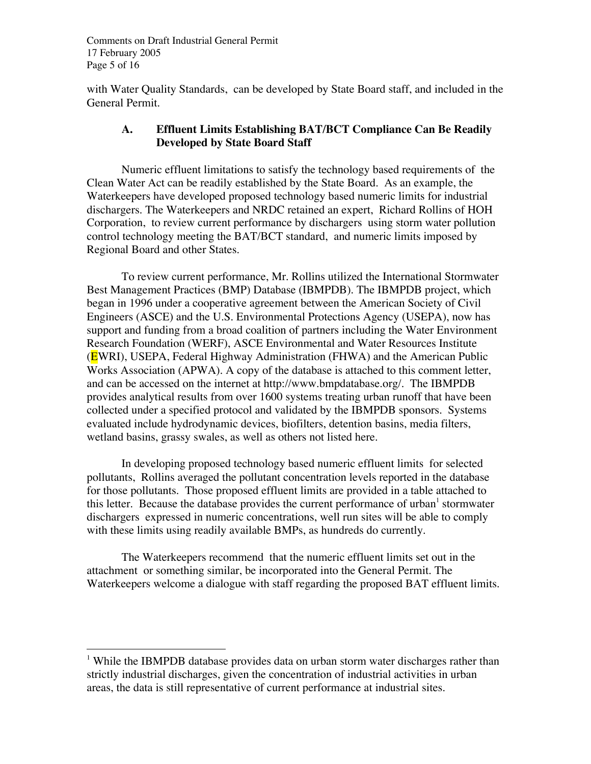Comments on Draft Industrial General Permit 17 February 2005 Page 5 of 16

with Water Quality Standards, can be developed by State Board staff, and included in the General Permit.

# **A. Effluent Limits Establishing BAT/BCT Compliance Can Be Readily Developed by State Board Staff**

Numeric effluent limitations to satisfy the technology based requirements of the Clean Water Act can be readily established by the State Board. As an example, the Waterkeepers have developed proposed technology based numeric limits for industrial dischargers. The Waterkeepers and NRDC retained an expert, Richard Rollins of HOH Corporation, to review current performance by dischargers using storm water pollution control technology meeting the BAT/BCT standard, and numeric limits imposed by Regional Board and other States.

To review current performance, Mr. Rollins utilized the International Stormwater Best Management Practices (BMP) Database (IBMPDB). The IBMPDB project, which began in 1996 under a cooperative agreement between the American Society of Civil Engineers (ASCE) and the U.S. Environmental Protections Agency (USEPA), now has support and funding from a broad coalition of partners including the Water Environment Research Foundation (WERF), ASCE Environmental and Water Resources Institute (EWRI), USEPA, Federal Highway Administration (FHWA) and the American Public Works Association (APWA). A copy of the database is attached to this comment letter, and can be accessed on the internet at http://www.bmpdatabase.org/. The IBMPDB provides analytical results from over 1600 systems treating urban runoff that have been collected under a specified protocol and validated by the IBMPDB sponsors. Systems evaluated include hydrodynamic devices, biofilters, detention basins, media filters, wetland basins, grassy swales, as well as others not listed here.

In developing proposed technology based numeric effluent limits for selected pollutants, Rollins averaged the pollutant concentration levels reported in the database for those pollutants. Those proposed effluent limits are provided in a table attached to this letter. Because the database provides the current performance of urban<sup>1</sup> stormwater dischargers expressed in numeric concentrations, well run sites will be able to comply with these limits using readily available BMPs, as hundreds do currently.

The Waterkeepers recommend that the numeric effluent limits set out in the attachment or something similar, be incorporated into the General Permit. The Waterkeepers welcome a dialogue with staff regarding the proposed BAT effluent limits.

 $\frac{1}{1}$ <sup>1</sup> While the IBMPDB database provides data on urban storm water discharges rather than strictly industrial discharges, given the concentration of industrial activities in urban areas, the data is still representative of current performance at industrial sites.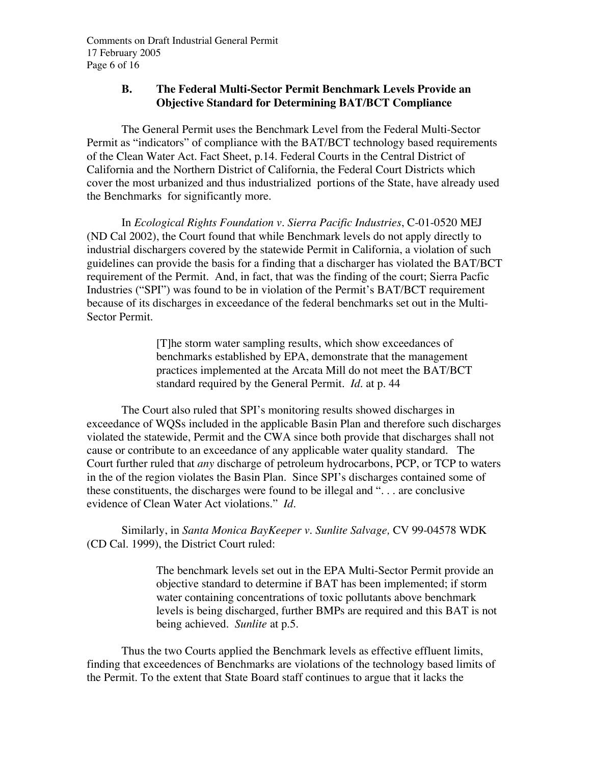### **B. The Federal Multi-Sector Permit Benchmark Levels Provide an Objective Standard for Determining BAT/BCT Compliance**

The General Permit uses the Benchmark Level from the Federal Multi-Sector Permit as "indicators" of compliance with the BAT/BCT technology based requirements of the Clean Water Act. Fact Sheet, p.14. Federal Courts in the Central District of California and the Northern District of California, the Federal Court Districts which cover the most urbanized and thus industrialized portions of the State, have already used the Benchmarks for significantly more.

In *Ecological Rights Foundation v. Sierra Pacific Industries*, C-01-0520 MEJ (ND Cal 2002), the Court found that while Benchmark levels do not apply directly to industrial dischargers covered by the statewide Permit in California, a violation of such guidelines can provide the basis for a finding that a discharger has violated the BAT/BCT requirement of the Permit. And, in fact, that was the finding of the court; Sierra Pacfic Industries ("SPI") was found to be in violation of the Permit's BAT/BCT requirement because of its discharges in exceedance of the federal benchmarks set out in the Multi-Sector Permit.

> [T]he storm water sampling results, which show exceedances of benchmarks established by EPA, demonstrate that the management practices implemented at the Arcata Mill do not meet the BAT/BCT standard required by the General Permit. *Id.* at p. 44

The Court also ruled that SPI's monitoring results showed discharges in exceedance of WQSs included in the applicable Basin Plan and therefore such discharges violated the statewide, Permit and the CWA since both provide that discharges shall not cause or contribute to an exceedance of any applicable water quality standard. The Court further ruled that *any* discharge of petroleum hydrocarbons, PCP, or TCP to waters in the of the region violates the Basin Plan. Since SPI's discharges contained some of these constituents, the discharges were found to be illegal and ". . . are conclusive evidence of Clean Water Act violations." *Id.*

Similarly, in *Santa Monica BayKeeper v. Sunlite Salvage,* CV 99-04578 WDK (CD Cal. 1999), the District Court ruled:

> The benchmark levels set out in the EPA Multi-Sector Permit provide an objective standard to determine if BAT has been implemented; if storm water containing concentrations of toxic pollutants above benchmark levels is being discharged, further BMPs are required and this BAT is not being achieved. *Sunlite* at p.5.

Thus the two Courts applied the Benchmark levels as effective effluent limits, finding that exceedences of Benchmarks are violations of the technology based limits of the Permit. To the extent that State Board staff continues to argue that it lacks the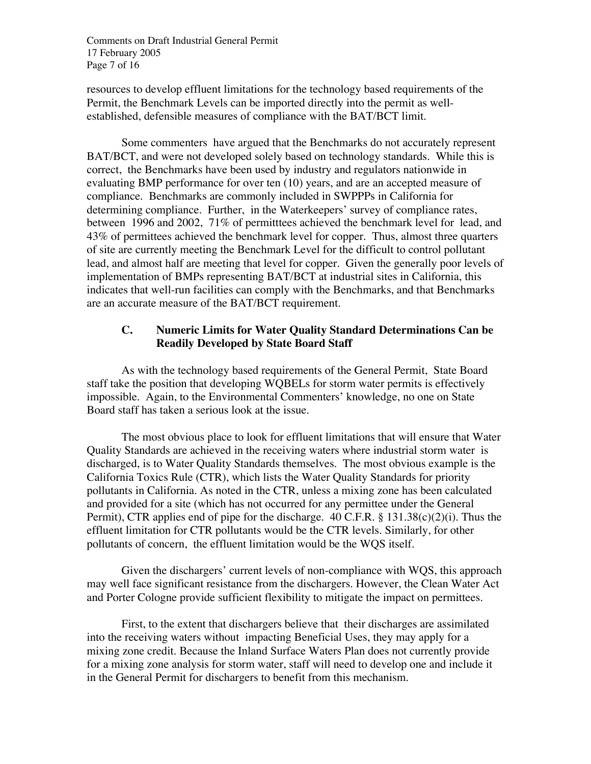Comments on Draft Industrial General Permit 17 February 2005 Page 7 of 16

resources to develop effluent limitations for the technology based requirements of the Permit, the Benchmark Levels can be imported directly into the permit as wellestablished, defensible measures of compliance with the BAT/BCT limit.

Some commenters have argued that the Benchmarks do not accurately represent BAT/BCT, and were not developed solely based on technology standards. While this is correct, the Benchmarks have been used by industry and regulators nationwide in evaluating BMP performance for over ten (10) years, and are an accepted measure of compliance. Benchmarks are commonly included in SWPPPs in California for determining compliance. Further, in the Waterkeepers' survey of compliance rates, between 1996 and 2002, 71% of permitttees achieved the benchmark level for lead, and 43% of permittees achieved the benchmark level for copper. Thus, almost three quarters of site are currently meeting the Benchmark Level for the difficult to control pollutant lead, and almost half are meeting that level for copper. Given the generally poor levels of implementation of BMPs representing BAT/BCT at industrial sites in California, this indicates that well-run facilities can comply with the Benchmarks, and that Benchmarks are an accurate measure of the BAT/BCT requirement.

## **C. Numeric Limits for Water Quality Standard Determinations Can be Readily Developed by State Board Staff**

As with the technology based requirements of the General Permit, State Board staff take the position that developing WQBELs for storm water permits is effectively impossible. Again, to the Environmental Commenters' knowledge, no one on State Board staff has taken a serious look at the issue.

The most obvious place to look for effluent limitations that will ensure that Water Quality Standards are achieved in the receiving waters where industrial storm water is discharged, is to Water Quality Standards themselves. The most obvious example is the California Toxics Rule (CTR), which lists the Water Quality Standards for priority pollutants in California. As noted in the CTR, unless a mixing zone has been calculated and provided for a site (which has not occurred for any permittee under the General Permit), CTR applies end of pipe for the discharge. 40 C.F.R. § 131.38(c)(2)(i). Thus the effluent limitation for CTR pollutants would be the CTR levels. Similarly, for other pollutants of concern, the effluent limitation would be the WQS itself.

Given the dischargers' current levels of non-compliance with WQS, this approach may well face significant resistance from the dischargers. However, the Clean Water Act and Porter Cologne provide sufficient flexibility to mitigate the impact on permittees.

First, to the extent that dischargers believe that their discharges are assimilated into the receiving waters without impacting Beneficial Uses, they may apply for a mixing zone credit. Because the Inland Surface Waters Plan does not currently provide for a mixing zone analysis for storm water, staff will need to develop one and include it in the General Permit for dischargers to benefit from this mechanism.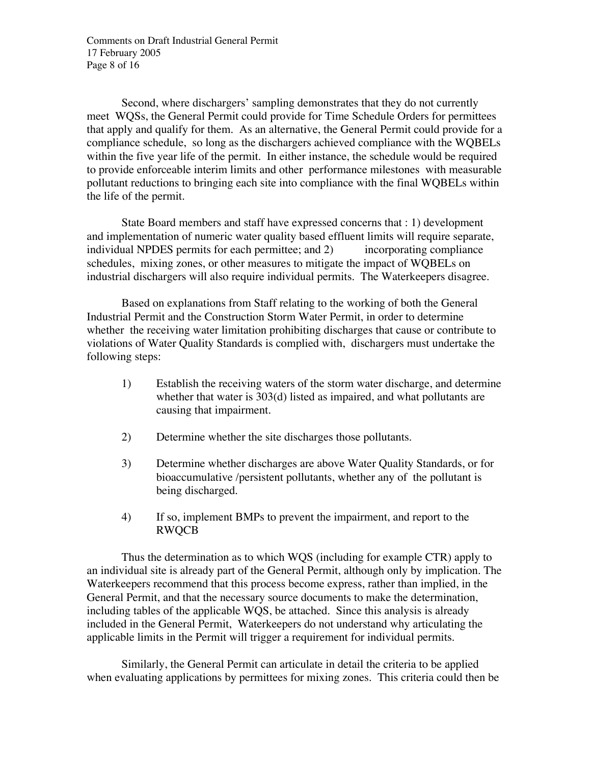Comments on Draft Industrial General Permit 17 February 2005 Page 8 of 16

Second, where dischargers' sampling demonstrates that they do not currently meet WQSs, the General Permit could provide for Time Schedule Orders for permittees that apply and qualify for them. As an alternative, the General Permit could provide for a compliance schedule, so long as the dischargers achieved compliance with the WQBELs within the five year life of the permit. In either instance, the schedule would be required to provide enforceable interim limits and other performance milestones with measurable pollutant reductions to bringing each site into compliance with the final WQBELs within the life of the permit.

State Board members and staff have expressed concerns that : 1) development and implementation of numeric water quality based effluent limits will require separate, individual NPDES permits for each permittee; and 2) incorporating compliance schedules, mixing zones, or other measures to mitigate the impact of WQBELs on industrial dischargers will also require individual permits. The Waterkeepers disagree.

Based on explanations from Staff relating to the working of both the General Industrial Permit and the Construction Storm Water Permit, in order to determine whether the receiving water limitation prohibiting discharges that cause or contribute to violations of Water Quality Standards is complied with, dischargers must undertake the following steps:

- 1) Establish the receiving waters of the storm water discharge, and determine whether that water is 303(d) listed as impaired, and what pollutants are causing that impairment.
- 2) Determine whether the site discharges those pollutants.
- 3) Determine whether discharges are above Water Quality Standards, or for bioaccumulative /persistent pollutants, whether any of the pollutant is being discharged.
- 4) If so, implement BMPs to prevent the impairment, and report to the RWQCB

Thus the determination as to which WQS (including for example CTR) apply to an individual site is already part of the General Permit, although only by implication. The Waterkeepers recommend that this process become express, rather than implied, in the General Permit, and that the necessary source documents to make the determination, including tables of the applicable WQS, be attached. Since this analysis is already included in the General Permit, Waterkeepers do not understand why articulating the applicable limits in the Permit will trigger a requirement for individual permits.

Similarly, the General Permit can articulate in detail the criteria to be applied when evaluating applications by permittees for mixing zones. This criteria could then be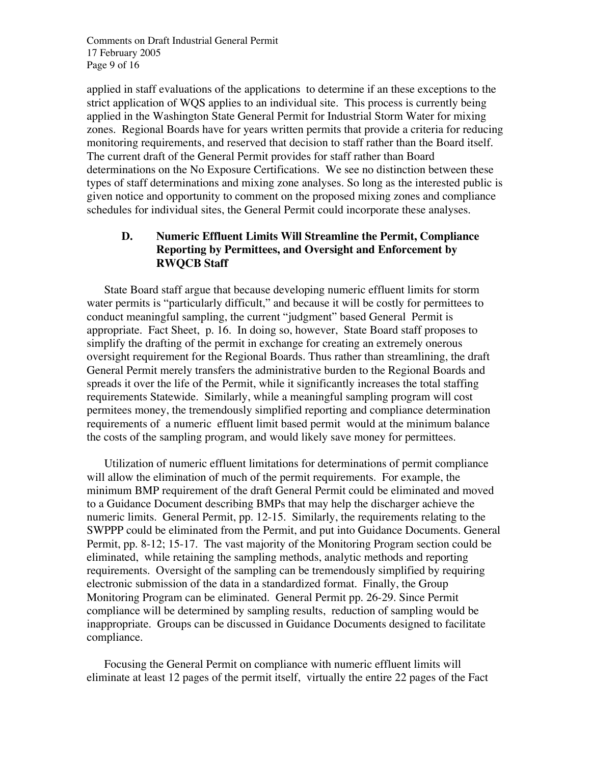Comments on Draft Industrial General Permit 17 February 2005 Page 9 of 16

applied in staff evaluations of the applications to determine if an these exceptions to the strict application of WQS applies to an individual site. This process is currently being applied in the Washington State General Permit for Industrial Storm Water for mixing zones. Regional Boards have for years written permits that provide a criteria for reducing monitoring requirements, and reserved that decision to staff rather than the Board itself. The current draft of the General Permit provides for staff rather than Board determinations on the No Exposure Certifications. We see no distinction between these types of staff determinations and mixing zone analyses. So long as the interested public is given notice and opportunity to comment on the proposed mixing zones and compliance schedules for individual sites, the General Permit could incorporate these analyses.

### **D. Numeric Effluent Limits Will Streamline the Permit, Compliance Reporting by Permittees, and Oversight and Enforcement by RWQCB Staff**

State Board staff argue that because developing numeric effluent limits for storm water permits is "particularly difficult," and because it will be costly for permittees to conduct meaningful sampling, the current "judgment" based General Permit is appropriate. Fact Sheet, p. 16. In doing so, however, State Board staff proposes to simplify the drafting of the permit in exchange for creating an extremely onerous oversight requirement for the Regional Boards. Thus rather than streamlining, the draft General Permit merely transfers the administrative burden to the Regional Boards and spreads it over the life of the Permit, while it significantly increases the total staffing requirements Statewide. Similarly, while a meaningful sampling program will cost permitees money, the tremendously simplified reporting and compliance determination requirements of a numeric effluent limit based permit would at the minimum balance the costs of the sampling program, and would likely save money for permittees.

Utilization of numeric effluent limitations for determinations of permit compliance will allow the elimination of much of the permit requirements. For example, the minimum BMP requirement of the draft General Permit could be eliminated and moved to a Guidance Document describing BMPs that may help the discharger achieve the numeric limits. General Permit, pp. 12-15. Similarly, the requirements relating to the SWPPP could be eliminated from the Permit, and put into Guidance Documents. General Permit, pp. 8-12; 15-17. The vast majority of the Monitoring Program section could be eliminated, while retaining the sampling methods, analytic methods and reporting requirements. Oversight of the sampling can be tremendously simplified by requiring electronic submission of the data in a standardized format. Finally, the Group Monitoring Program can be eliminated. General Permit pp. 26-29. Since Permit compliance will be determined by sampling results, reduction of sampling would be inappropriate. Groups can be discussed in Guidance Documents designed to facilitate compliance.

Focusing the General Permit on compliance with numeric effluent limits will eliminate at least 12 pages of the permit itself, virtually the entire 22 pages of the Fact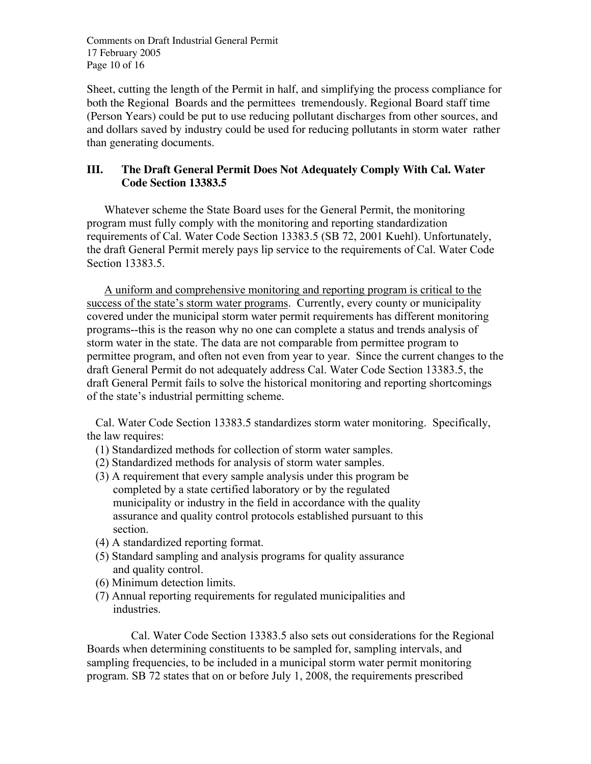Comments on Draft Industrial General Permit 17 February 2005 Page 10 of 16

Sheet, cutting the length of the Permit in half, and simplifying the process compliance for both the Regional Boards and the permittees tremendously. Regional Board staff time (Person Years) could be put to use reducing pollutant discharges from other sources, and and dollars saved by industry could be used for reducing pollutants in storm water rather than generating documents.

# **III. The Draft General Permit Does Not Adequately Comply With Cal. Water Code Section 13383.5**

Whatever scheme the State Board uses for the General Permit, the monitoring program must fully comply with the monitoring and reporting standardization requirements of Cal. Water Code Section 13383.5 (SB 72, 2001 Kuehl). Unfortunately, the draft General Permit merely pays lip service to the requirements of Cal. Water Code Section 13383.5.

A uniform and comprehensive monitoring and reporting program is critical to the success of the state's storm water programs. Currently, every county or municipality covered under the municipal storm water permit requirements has different monitoring programs--this is the reason why no one can complete a status and trends analysis of storm water in the state. The data are not comparable from permittee program to permittee program, and often not even from year to year. Since the current changes to the draft General Permit do not adequately address Cal. Water Code Section 13383.5, the draft General Permit fails to solve the historical monitoring and reporting shortcomings of the state's industrial permitting scheme.

Cal. Water Code Section 13383.5 standardizes storm water monitoring. Specifically, the law requires:

- (1) Standardized methods for collection of storm water samples.
- (2) Standardized methods for analysis of storm water samples.
- (3) A requirement that every sample analysis under this program be completed by a state certified laboratory or by the regulated municipality or industry in the field in accordance with the quality assurance and quality control protocols established pursuant to this section.
- (4) A standardized reporting format.
- (5) Standard sampling and analysis programs for quality assurance and quality control.
- (6) Minimum detection limits.
- (7) Annual reporting requirements for regulated municipalities and industries.

Cal. Water Code Section 13383.5 also sets out considerations for the Regional Boards when determining constituents to be sampled for, sampling intervals, and sampling frequencies, to be included in a municipal storm water permit monitoring program. SB 72 states that on or before July 1, 2008, the requirements prescribed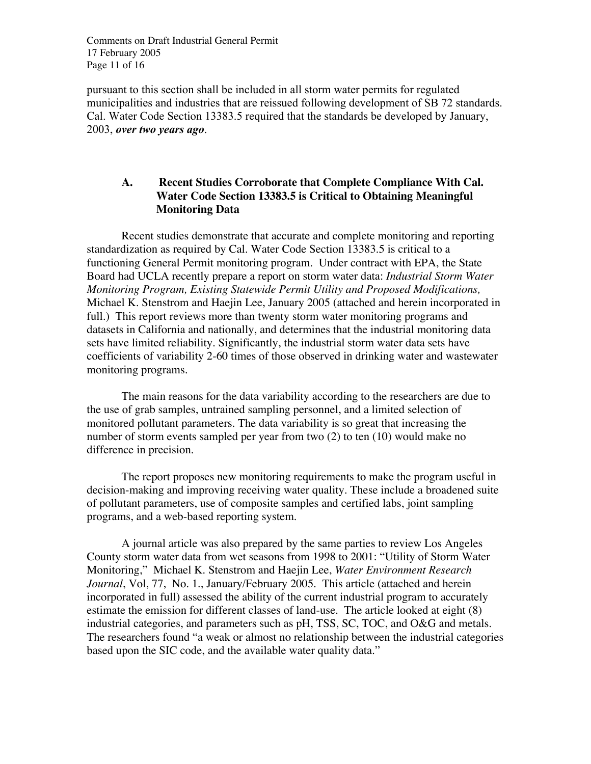Comments on Draft Industrial General Permit 17 February 2005 Page 11 of 16

pursuant to this section shall be included in all storm water permits for regulated municipalities and industries that are reissued following development of SB 72 standards. Cal. Water Code Section 13383.5 required that the standards be developed by January, 2003, *over two years ago*.

# **A. Recent Studies Corroborate that Complete Compliance With Cal. Water Code Section 13383.5 is Critical to Obtaining Meaningful Monitoring Data**

Recent studies demonstrate that accurate and complete monitoring and reporting standardization as required by Cal. Water Code Section 13383.5 is critical to a functioning General Permit monitoring program. Under contract with EPA, the State Board had UCLA recently prepare a report on storm water data: *Industrial Storm Water Monitoring Program, Existing Statewide Permit Utility and Proposed Modifications,* Michael K. Stenstrom and Haejin Lee, January 2005 (attached and herein incorporated in full.) This report reviews more than twenty storm water monitoring programs and datasets in California and nationally, and determines that the industrial monitoring data sets have limited reliability. Significantly, the industrial storm water data sets have coefficients of variability 2-60 times of those observed in drinking water and wastewater monitoring programs.

The main reasons for the data variability according to the researchers are due to the use of grab samples, untrained sampling personnel, and a limited selection of monitored pollutant parameters. The data variability is so great that increasing the number of storm events sampled per year from two (2) to ten (10) would make no difference in precision.

The report proposes new monitoring requirements to make the program useful in decision-making and improving receiving water quality. These include a broadened suite of pollutant parameters, use of composite samples and certified labs, joint sampling programs, and a web-based reporting system.

A journal article was also prepared by the same parties to review Los Angeles County storm water data from wet seasons from 1998 to 2001: "Utility of Storm Water Monitoring," Michael K. Stenstrom and Haejin Lee, *Water Environment Research Journal*, Vol, 77, No. 1., January/February 2005. This article (attached and herein incorporated in full) assessed the ability of the current industrial program to accurately estimate the emission for different classes of land-use. The article looked at eight (8) industrial categories, and parameters such as pH, TSS, SC, TOC, and O&G and metals. The researchers found "a weak or almost no relationship between the industrial categories based upon the SIC code, and the available water quality data."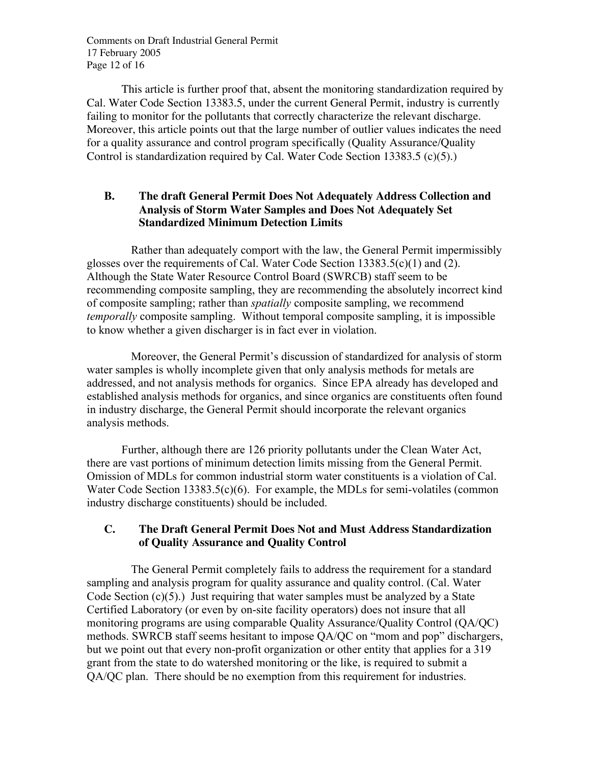Comments on Draft Industrial General Permit 17 February 2005 Page 12 of 16

This article is further proof that, absent the monitoring standardization required by Cal. Water Code Section 13383.5, under the current General Permit, industry is currently failing to monitor for the pollutants that correctly characterize the relevant discharge. Moreover, this article points out that the large number of outlier values indicates the need for a quality assurance and control program specifically (Quality Assurance/Quality Control is standardization required by Cal. Water Code Section 13383.5 (c)(5).)

## **B. The draft General Permit Does Not Adequately Address Collection and Analysis of Storm Water Samples and Does Not Adequately Set Standardized Minimum Detection Limits**

Rather than adequately comport with the law, the General Permit impermissibly glosses over the requirements of Cal. Water Code Section  $13383.5(c)(1)$  and (2). Although the State Water Resource Control Board (SWRCB) staff seem to be recommending composite sampling, they are recommending the absolutely incorrect kind of composite sampling; rather than *spatially* composite sampling, we recommend *temporally* composite sampling. Without temporal composite sampling, it is impossible to know whether a given discharger is in fact ever in violation.

Moreover, the General Permit's discussion of standardized for analysis of storm water samples is wholly incomplete given that only analysis methods for metals are addressed, and not analysis methods for organics. Since EPA already has developed and established analysis methods for organics, and since organics are constituents often found in industry discharge, the General Permit should incorporate the relevant organics analysis methods.

Further, although there are 126 priority pollutants under the Clean Water Act, there are vast portions of minimum detection limits missing from the General Permit. Omission of MDLs for common industrial storm water constituents is a violation of Cal. Water Code Section 13383.5(c)(6). For example, the MDLs for semi-volatiles (common industry discharge constituents) should be included.

## **C. The Draft General Permit Does Not and Must Address Standardization of Quality Assurance and Quality Control**

The General Permit completely fails to address the requirement for a standard sampling and analysis program for quality assurance and quality control. (Cal. Water Code Section (c)(5).) Just requiring that water samples must be analyzed by a State Certified Laboratory (or even by on-site facility operators) does not insure that all monitoring programs are using comparable Quality Assurance/Quality Control (QA/QC) methods. SWRCB staff seems hesitant to impose QA/QC on "mom and pop" dischargers, but we point out that every non-profit organization or other entity that applies for a 319 grant from the state to do watershed monitoring or the like, is required to submit a QA/QC plan. There should be no exemption from this requirement for industries.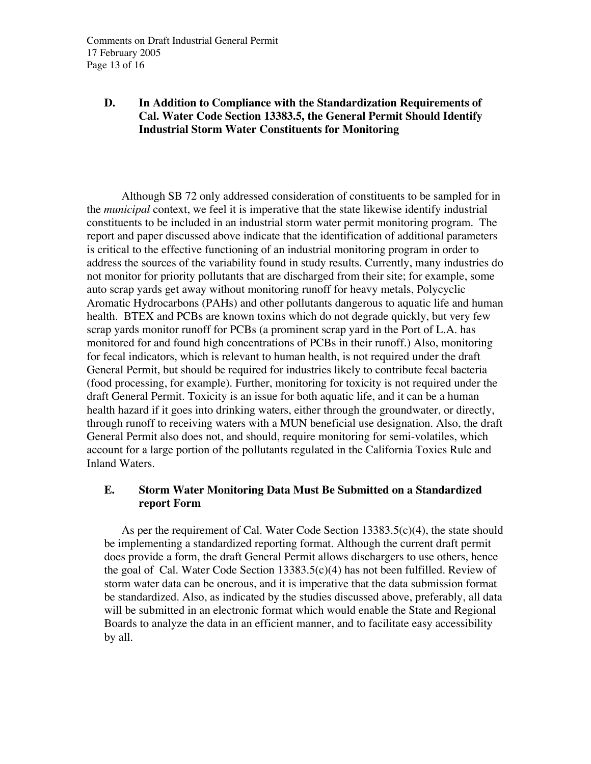# **D. In Addition to Compliance with the Standardization Requirements of Cal. Water Code Section 13383.5, the General Permit Should Identify Industrial Storm Water Constituents for Monitoring**

Although SB 72 only addressed consideration of constituents to be sampled for in the *municipal* context, we feel it is imperative that the state likewise identify industrial constituents to be included in an industrial storm water permit monitoring program. The report and paper discussed above indicate that the identification of additional parameters is critical to the effective functioning of an industrial monitoring program in order to address the sources of the variability found in study results. Currently, many industries do not monitor for priority pollutants that are discharged from their site; for example, some auto scrap yards get away without monitoring runoff for heavy metals, Polycyclic Aromatic Hydrocarbons (PAHs) and other pollutants dangerous to aquatic life and human health. BTEX and PCBs are known toxins which do not degrade quickly, but very few scrap yards monitor runoff for PCBs (a prominent scrap yard in the Port of L.A. has monitored for and found high concentrations of PCBs in their runoff.) Also, monitoring for fecal indicators, which is relevant to human health, is not required under the draft General Permit, but should be required for industries likely to contribute fecal bacteria (food processing, for example). Further, monitoring for toxicity is not required under the draft General Permit. Toxicity is an issue for both aquatic life, and it can be a human health hazard if it goes into drinking waters, either through the groundwater, or directly, through runoff to receiving waters with a MUN beneficial use designation. Also, the draft General Permit also does not, and should, require monitoring for semi-volatiles, which account for a large portion of the pollutants regulated in the California Toxics Rule and Inland Waters.

# **E. Storm Water Monitoring Data Must Be Submitted on a Standardized report Form**

As per the requirement of Cal. Water Code Section 13383.5(c)(4), the state should be implementing a standardized reporting format. Although the current draft permit does provide a form, the draft General Permit allows dischargers to use others, hence the goal of Cal. Water Code Section 13383.5(c)(4) has not been fulfilled. Review of storm water data can be onerous, and it is imperative that the data submission format be standardized. Also, as indicated by the studies discussed above, preferably, all data will be submitted in an electronic format which would enable the State and Regional Boards to analyze the data in an efficient manner, and to facilitate easy accessibility by all.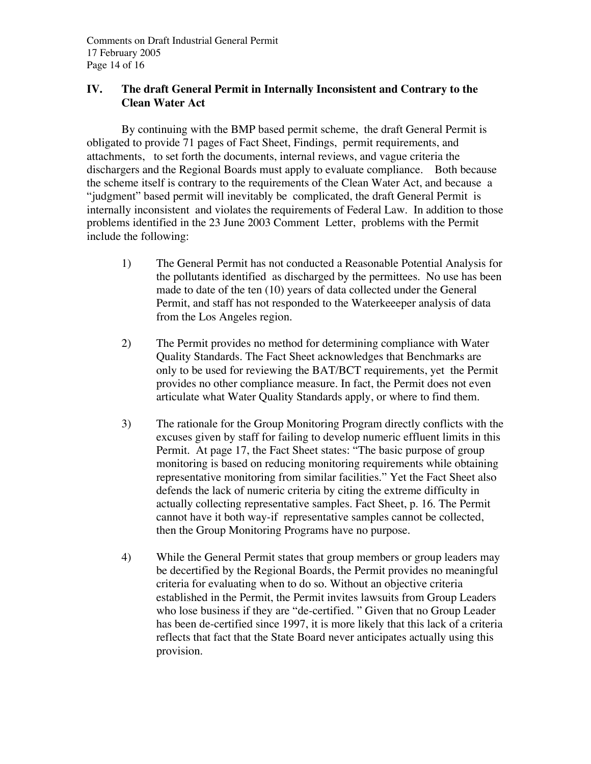Comments on Draft Industrial General Permit 17 February 2005 Page 14 of 16

# **IV. The draft General Permit in Internally Inconsistent and Contrary to the Clean Water Act**

By continuing with the BMP based permit scheme, the draft General Permit is obligated to provide 71 pages of Fact Sheet, Findings, permit requirements, and attachments, to set forth the documents, internal reviews, and vague criteria the dischargers and the Regional Boards must apply to evaluate compliance. Both because the scheme itself is contrary to the requirements of the Clean Water Act, and because a "judgment" based permit will inevitably be complicated, the draft General Permit is internally inconsistent and violates the requirements of Federal Law. In addition to those problems identified in the 23 June 2003 Comment Letter, problems with the Permit include the following:

- 1) The General Permit has not conducted a Reasonable Potential Analysis for the pollutants identified as discharged by the permittees. No use has been made to date of the ten (10) years of data collected under the General Permit, and staff has not responded to the Waterkeeeper analysis of data from the Los Angeles region.
- 2) The Permit provides no method for determining compliance with Water Quality Standards. The Fact Sheet acknowledges that Benchmarks are only to be used for reviewing the BAT/BCT requirements, yet the Permit provides no other compliance measure. In fact, the Permit does not even articulate what Water Quality Standards apply, or where to find them.
- 3) The rationale for the Group Monitoring Program directly conflicts with the excuses given by staff for failing to develop numeric effluent limits in this Permit. At page 17, the Fact Sheet states: "The basic purpose of group monitoring is based on reducing monitoring requirements while obtaining representative monitoring from similar facilities." Yet the Fact Sheet also defends the lack of numeric criteria by citing the extreme difficulty in actually collecting representative samples. Fact Sheet, p. 16. The Permit cannot have it both way-if representative samples cannot be collected, then the Group Monitoring Programs have no purpose.
- 4) While the General Permit states that group members or group leaders may be decertified by the Regional Boards, the Permit provides no meaningful criteria for evaluating when to do so. Without an objective criteria established in the Permit, the Permit invites lawsuits from Group Leaders who lose business if they are "de-certified. " Given that no Group Leader has been de-certified since 1997, it is more likely that this lack of a criteria reflects that fact that the State Board never anticipates actually using this provision.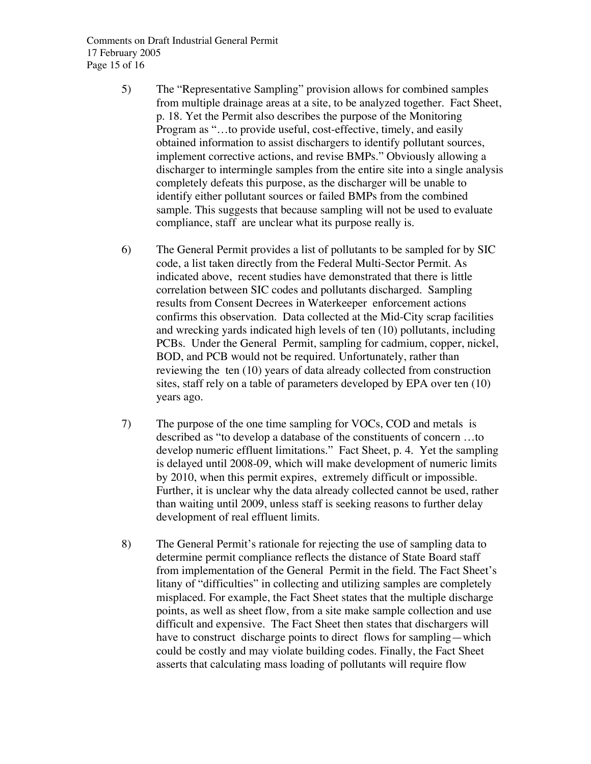Comments on Draft Industrial General Permit 17 February 2005 Page 15 of 16

- 5) The "Representative Sampling" provision allows for combined samples from multiple drainage areas at a site, to be analyzed together. Fact Sheet, p. 18. Yet the Permit also describes the purpose of the Monitoring Program as "…to provide useful, cost-effective, timely, and easily obtained information to assist dischargers to identify pollutant sources, implement corrective actions, and revise BMPs." Obviously allowing a discharger to intermingle samples from the entire site into a single analysis completely defeats this purpose, as the discharger will be unable to identify either pollutant sources or failed BMPs from the combined sample. This suggests that because sampling will not be used to evaluate compliance, staff are unclear what its purpose really is.
- 6) The General Permit provides a list of pollutants to be sampled for by SIC code, a list taken directly from the Federal Multi-Sector Permit. As indicated above, recent studies have demonstrated that there is little correlation between SIC codes and pollutants discharged. Sampling results from Consent Decrees in Waterkeeper enforcement actions confirms this observation. Data collected at the Mid-City scrap facilities and wrecking yards indicated high levels of ten (10) pollutants, including PCBs. Under the General Permit, sampling for cadmium, copper, nickel, BOD, and PCB would not be required. Unfortunately, rather than reviewing the ten (10) years of data already collected from construction sites, staff rely on a table of parameters developed by EPA over ten (10) years ago.
- 7) The purpose of the one time sampling for VOCs, COD and metals is described as "to develop a database of the constituents of concern …to develop numeric effluent limitations." Fact Sheet, p. 4. Yet the sampling is delayed until 2008-09, which will make development of numeric limits by 2010, when this permit expires, extremely difficult or impossible. Further, it is unclear why the data already collected cannot be used, rather than waiting until 2009, unless staff is seeking reasons to further delay development of real effluent limits.
- 8) The General Permit's rationale for rejecting the use of sampling data to determine permit compliance reflects the distance of State Board staff from implementation of the General Permit in the field. The Fact Sheet's litany of "difficulties" in collecting and utilizing samples are completely misplaced. For example, the Fact Sheet states that the multiple discharge points, as well as sheet flow, from a site make sample collection and use difficult and expensive. The Fact Sheet then states that dischargers will have to construct discharge points to direct flows for sampling—which could be costly and may violate building codes. Finally, the Fact Sheet asserts that calculating mass loading of pollutants will require flow